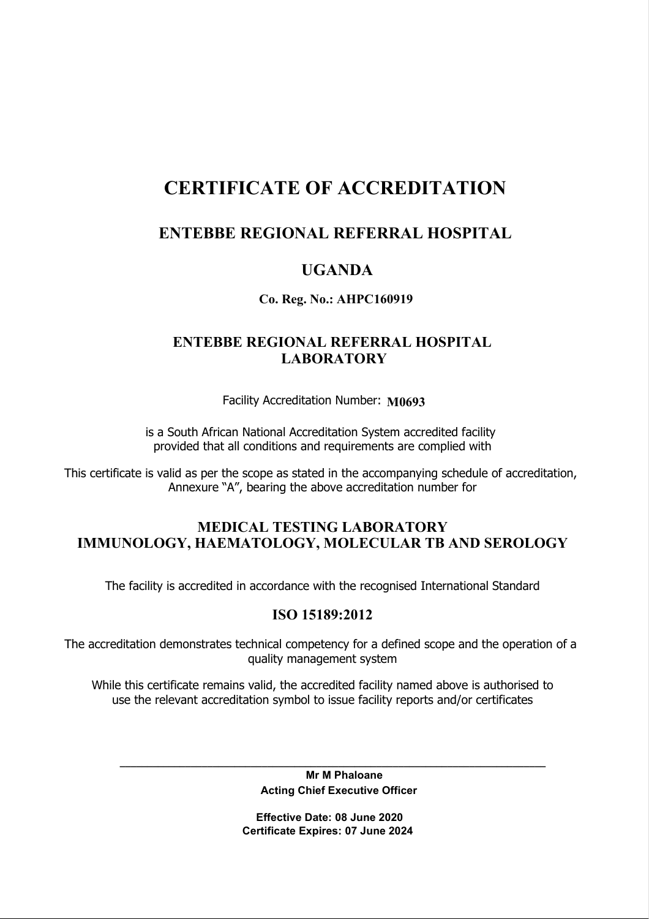# CERTIFICATE OF ACCREDITATION

# ENTEBBE REGIONAL REFERRAL HOSPITAL

## UGANDA

#### Co. Reg. No.: AHPC160919

## ENTEBBE REGIONAL REFERRAL HOSPITAL LABORATORY

Facility Accreditation Number: M0693

is a South African National Accreditation System accredited facility provided that all conditions and requirements are complied with

This certificate is valid as per the scope as stated in the accompanying schedule of accreditation, Annexure "A", bearing the above accreditation number for

## MEDICAL TESTING LABORATORY IMMUNOLOGY, HAEMATOLOGY, MOLECULAR TB AND SEROLOGY

The facility is accredited in accordance with the recognised International Standard

#### ISO 15189:2012

The accreditation demonstrates technical competency for a defined scope and the operation of a quality management system

While this certificate remains valid, the accredited facility named above is authorised to use the relevant accreditation symbol to issue facility reports and/or certificates

> Mr M Phaloane Acting Chief Executive Officer

\_\_\_\_\_\_\_\_\_\_\_\_\_\_\_\_\_\_\_\_\_\_\_\_\_\_\_\_\_\_\_\_\_\_\_\_\_\_\_\_\_\_\_\_\_\_\_\_\_\_\_\_\_\_\_\_\_\_\_\_\_\_\_\_\_\_\_\_\_\_\_\_\_\_\_\_\_\_

 Effective Date: 08 June 2020 Certificate Expires: 07 June 2024